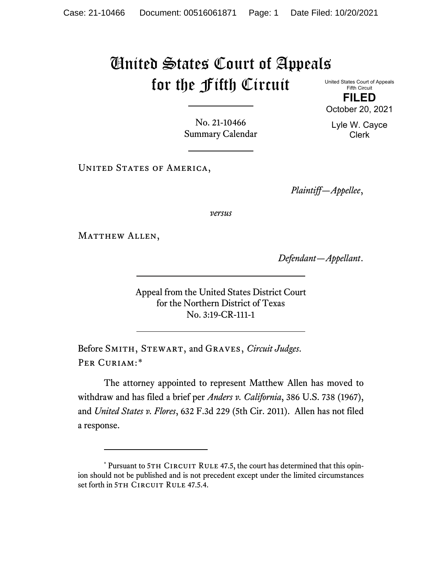## United States Court of Appeals for the Fifth Circuit United States Court of Appeals

Fifth Circuit **FILED**

No. 21-10466 Summary Calendar

UNITED STATES OF AMERICA,

*Plaintiff—Appellee*,

*versus*

MATTHEW ALLEN,

*Defendant—Appellant*.

Appeal from the United States District Court for the Northern District of Texas No. 3:19-CR-111-1

Before Smith, Stewart, and Graves, *Circuit Judges*. PER CURIAM:[\\*](#page-0-0)

The attorney appointed to represent Matthew Allen has moved to withdraw and has filed a brief per *Anders v. California*, 386 U.S. 738 (1967), and *United States v. Flores*, 632 F.3d 229 (5th Cir. 2011). Allen has not filed a response.

October 20, 2021

Lyle W. Cayce Clerk

<span id="page-0-0"></span><sup>\*</sup> Pursuant to 5TH CIRCUIT RULE 47.5, the court has determined that this opinion should not be published and is not precedent except under the limited circumstances set forth in 5TH CIRCUIT RULE 47.5.4.